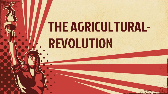# THE AGRICULTURAL-REVOLUTION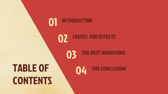#### INTRODUCTION 01

**CAUSES AND EFFECTS** 

## TABLE OF **CONTENTS**

04 THE CONCLUSION

**03** THE BEST INVENTIONS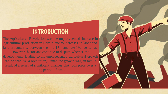#### **INTRODUCTION**

The Agricultural Revolution was the unprecedented increase in agricultural production in Britain due to increases in labor and land productivity between the mid-17th and late 19th centuries. However, historians continue to dispute whether the developments leading to the unprecedented agricultural growth can be seen as "a revolution," since the growth was, in fact, a result of a series of significant changes that took place over a long period of time.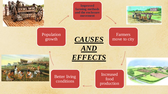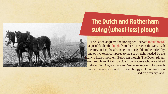

### The Dutch and Rotherham swing (wheel-less) plough

The Dutch acquired the iron-tipped, curved [mouldboard](https://en.wikipedia.org/wiki/Plough), adjustable depth [plough](https://en.wikipedia.org/wiki/Plough) from the Chinese in the early 17th century. It had the advantage of being able to be pulled by one or two oxen compared to the six or eight needed by the eavy wheeled northern European plough. The Dutch plough was brought to Britain by Dutch contractors who were hired to drain East Anglian fens and Somerset moors. The plough was extremely successful on wet, boggy soil, but was soon used on ordinary land.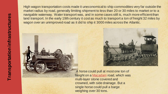High wagon transportation costs made it uneconomical to ship commodities very far outside the market radius by road, generally limiting shipment to less than 20 or 30 miles to market or to a navigable waterway. Water transport was, and in some cases still is, much more efficient than land transport. In the early 19th century it cost as much to transport a ton of freight 32 miles by wagon over an unimproved road as it did to ship it 3000 miles across the Atlantic.





A horse could pull at most one ton of freight on a [Macadam](https://en.wikipedia.org/wiki/Macadam) road, which was multi-layer stone covered and crowned, with side drainage. But a single horse could pull a barge weighing over 30 tons.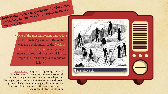[1](https://en.wikipedia.org/wiki/Norfolk_four-course_system) One of the most important innovations of the British Agricultural Revolution was the development of the Norfolk four-course rotation, which greatly increased crop and livestock yields by improving soil fertility and reducing fallow.

[Crop rotation](https://en.wikipedia.org/wiki/Crop_rotation) is the practice of growing a series of dissimilar types of crops in the same area in sequential seasons to help restore plant nutrients and mitigate the build-up of pathogens and pests that often occurs when one plant species is continuously cropped. Rotation can also improve soil structure and fertility by alternating deeprooted and shallow-rooted plants.

particularly take

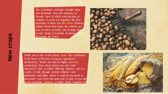The Columbian exchange brought many new foodstuffs from the Americas to Eurasia, most of which took decades or centuries to catch on. Arguably the most important of these was the potato. Potatoes yielded about three times the calories per acre of wheat or barley, due in large part to only taking 3-4 months to mature versus 10 months for wheat

While not as vital as the potato, maize also contributed to the boost of Western European agricultural productivity. Maize also had far higher per-acre productivity than wheat (about two and a half times),[21] grew at widely differing altitudes and in a variety of soils (though warmer climates were preferred), and unlike wheat it could be harvested in successive years from the same plot of land. It was often grown alongside potatoes, as maize plants required wid spacing.